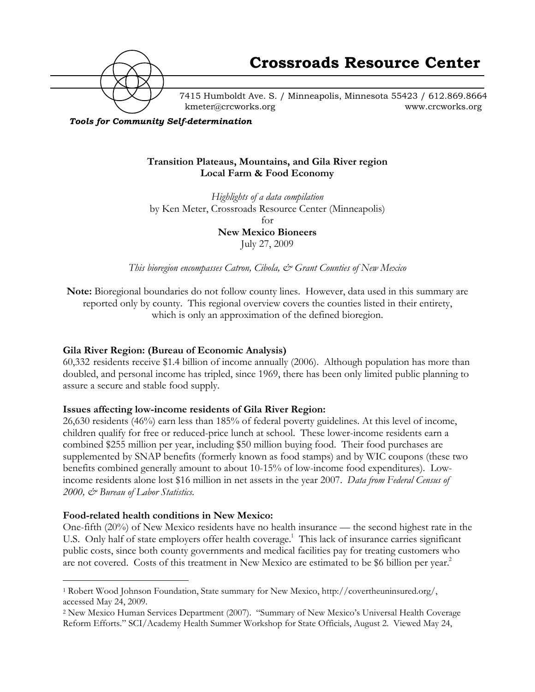

7415 Humboldt Ave. S. / Minneapolis, Minnesota 55423 / 612.869.8664 kmeter@crcworks.org www.crcworks.org

*Tools for Community Self-determination*

#### **Transition Plateaus, Mountains, and Gila River region Local Farm & Food Economy**

*Highlights of a data compilation* by Ken Meter, Crossroads Resource Center (Minneapolis) for **New Mexico Bioneers** July 27, 2009

*This bioregion encompasses Catron, Cibola, & Grant Counties of New Mexico*

**Note:** Bioregional boundaries do not follow county lines. However, data used in this summary are reported only by county. This regional overview covers the counties listed in their entirety, which is only an approximation of the defined bioregion.

#### **Gila River Region: (Bureau of Economic Analysis)**

60,332 residents receive \$1.4 billion of income annually (2006). Although population has more than doubled, and personal income has tripled, since 1969, there has been only limited public planning to assure a secure and stable food supply.

#### **Issues affecting low-income residents of Gila River Region:**

26,630 residents (46%) earn less than 185% of federal poverty guidelines. At this level of income, children qualify for free or reduced-price lunch at school. These lower-income residents earn a combined \$255 million per year, including \$50 million buying food. Their food purchases are supplemented by SNAP benefits (formerly known as food stamps) and by WIC coupons (these two benefits combined generally amount to about 10-15% of low-income food expenditures). Lowincome residents alone lost \$16 million in net assets in the year 2007. *Data from Federal Census of 2000, & Bureau of Labor Statistics.*

#### **Food-related health conditions in New Mexico:**

One-fifth (20%) of New Mexico residents have no health insurance — the second highest rate in the U.S. Only half of state employers offer health coverage.<sup>1</sup> This lack of insurance carries significant public costs, since both county governments and medical facilities pay for treating customers who are not covered. Costs of this treatment in New Mexico are estimated to be \$6 billion per year.<sup>2</sup>

 <sup>1</sup> Robert Wood Johnson Foundation, State summary for New Mexico, http://covertheuninsured.org/, accessed May 24, 2009.

<sup>2</sup> New Mexico Human Services Department (2007). "Summary of New Mexico's Universal Health Coverage Reform Efforts." SCI/Academy Health Summer Workshop for State Officials, August 2. Viewed May 24,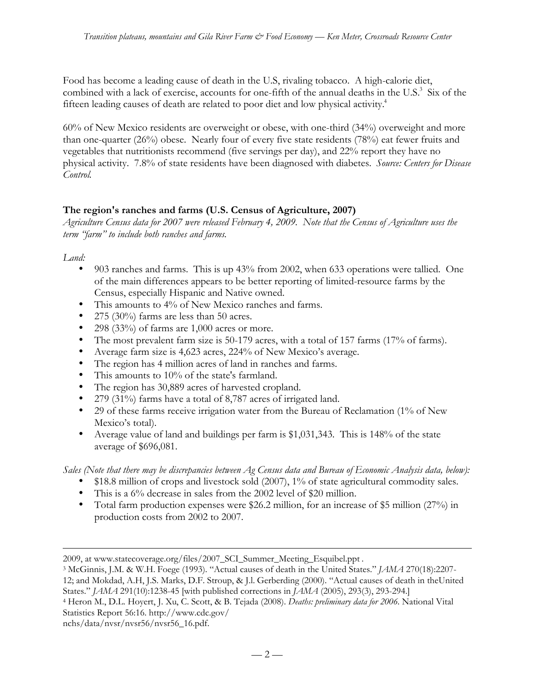Food has become a leading cause of death in the U.S, rivaling tobacco. A high-calorie diet, combined with a lack of exercise, accounts for one-fifth of the annual deaths in the U.S.<sup>3</sup> Six of the fifteen leading causes of death are related to poor diet and low physical activity.<sup>4</sup>

60% of New Mexico residents are overweight or obese, with one-third (34%) overweight and more than one-quarter (26%) obese. Nearly four of every five state residents (78%) eat fewer fruits and vegetables that nutritionists recommend (five servings per day), and 22% report they have no physical activity. 7.8% of state residents have been diagnosed with diabetes. *Source: Centers for Disease Control.*

# **The region's ranches and farms (U.S. Census of Agriculture, 2007)**

*Agriculture Census data for 2007 were released February 4, 2009. Note that the Census of Agriculture uses the term "farm" to include both ranches and farms.*

*Land:*

 $\overline{a}$ 

903 ranches and farms. This is up 43% from 2002, when 633 operations were tallied. One of the main differences appears to be better reporting of limited-resource farms by the Census, especially Hispanic and Native owned. This amounts to 4% of New Mexico ranches and farms. 275 (30%) farms are less than 50 acres. 298 (33%) of farms are 1,000 acres or more. The most prevalent farm size is 50-179 acres, with a total of 157 farms (17% of farms). Average farm size is 4,623 acres, 224% of New Mexico's average. The region has 4 million acres of land in ranches and farms. This amounts to 10% of the state's farmland. The region has 30,889 acres of harvested cropland. 279 (31%) farms have a total of 8,787 acres of irrigated land. 29 of these farms receive irrigation water from the Bureau of Reclamation (1% of New Mexico's total). Average value of land and buildings per farm is \$1,031,343. This is 148% of the state average of \$696,081.

*Sales (Note that there may be discrepancies between Ag Census data and Bureau of Economic Analysis data, below):* \$18.8 million of crops and livestock sold (2007), 1% of state agricultural commodity sales. This is a 6% decrease in sales from the 2002 level of \$20 million. Total farm production expenses were \$26.2 million, for an increase of \$5 million (27%) in production costs from 2002 to 2007.

States." *JAMA* 291(10):1238-45 [with published corrections in *JAMA* (2005), 293(3), 293-294.]

```
4 Heron M., D.L. Hoyert, J. Xu, C. Scott, & B. Tejada (2008). Deaths: preliminary data for 2006. National Vital
Statistics Report 56:16. http://www.cdc.gov/
```
nchs/data/nvsr/nvsr56/nvsr56\_16.pdf.

<sup>2009,</sup> at www.statecoverage.org/files/2007\_SCI\_Summer\_Meeting\_Esquibel.ppt .

<sup>3</sup> McGinnis, J.M. & W.H. Foege (1993). "Actual causes of death in the United States." *JAMA* 270(18):2207- 12; and Mokdad, A.H, J.S. Marks, D.F. Stroup, & J.l. Gerberding (2000). "Actual causes of death in theUnited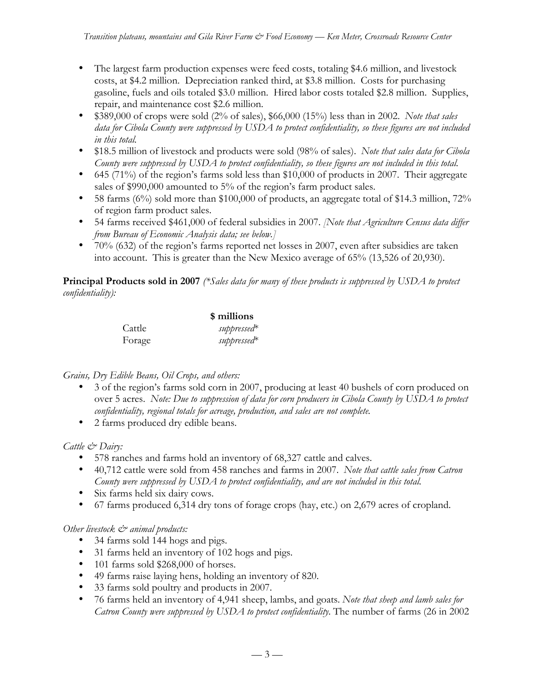The largest farm production expenses were feed costs, totaling \$4.6 million, and livestock costs, at \$4.2 million. Depreciation ranked third, at \$3.8 million. Costs for purchasing gasoline, fuels and oils totaled \$3.0 million. Hired labor costs totaled \$2.8 million. Supplies, repair, and maintenance cost \$2.6 million.

\$389,000 of crops were sold (2% of sales), \$66,000 (15%) less than in 2002. *Note that sales data for Cibola County were suppressed by USDA to protect confidentiality, so these figures are not included in this total.*

\$18.5 million of livestock and products were sold (98% of sales). *Note that sales data for Cibola County were suppressed by USDA to protect confidentiality, so these figures are not included in this total.* 645 (71%) of the region's farms sold less than \$10,000 of products in 2007. Their aggregate sales of \$990,000 amounted to 5% of the region's farm product sales.

58 farms (6%) sold more than \$100,000 of products, an aggregate total of \$14.3 million, 72% of region farm product sales.

54 farms received \$461,000 of federal subsidies in 2007. *[Note that Agriculture Census data differ from Bureau of Economic Analysis data; see below.]*

70% (632) of the region's farms reported net losses in 2007, even after subsidies are taken into account. This is greater than the New Mexico average of 65% (13,526 of 20,930).

**Principal Products sold in 2007** *(\*Sales data for many of these products is suppressed by USDA to protect confidentiality):*

|        | \$ millions             |  |
|--------|-------------------------|--|
| Cattle | suppressed <sup>*</sup> |  |
| Forage | suppressed <sup>*</sup> |  |

#### *Grains, Dry Edible Beans, Oil Crops, and others:*

3 of the region's farms sold corn in 2007, producing at least 40 bushels of corn produced on over 5 acres. *Note: Due to suppression of data for corn producers in Cibola County by USDA to protect confidentiality, regional totals for acreage, production, and sales are not complete.* 2 farms produced dry edible beans.

#### *Cattle & Dairy:*

578 ranches and farms hold an inventory of 68,327 cattle and calves.

40,712 cattle were sold from 458 ranches and farms in 2007. *Note that cattle sales from Catron County were suppressed by USDA to protect confidentiality, and are not included in this total.* Six farms held six dairy cows.

67 farms produced 6,314 dry tons of forage crops (hay, etc.) on 2,679 acres of cropland.

#### *Other livestock*  $\mathcal{Q}$  *animal products:*

34 farms sold 144 hogs and pigs.

31 farms held an inventory of 102 hogs and pigs.

101 farms sold \$268,000 of horses.

49 farms raise laying hens, holding an inventory of 820.

33 farms sold poultry and products in 2007.

76 farms held an inventory of 4,941 sheep, lambs, and goats. *Note that sheep and lamb sales for Catron County were suppressed by USDA to protect confidentiality.* The number of farms (26 in 2002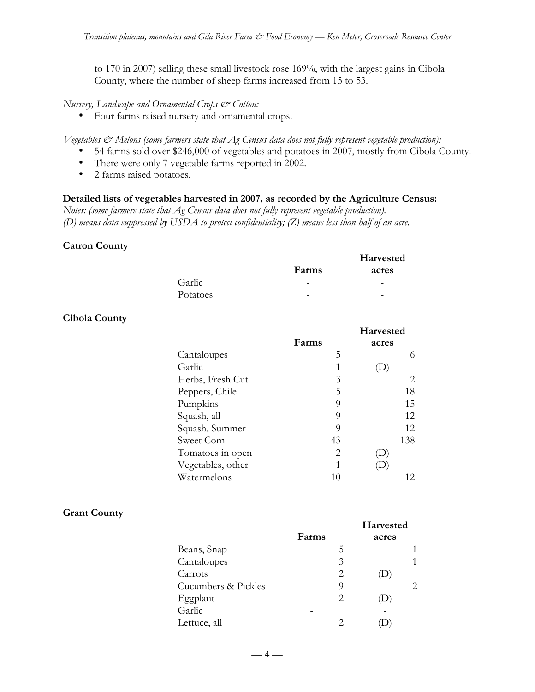to 170 in 2007) selling these small livestock rose 169%, with the largest gains in Cibola County, where the number of sheep farms increased from 15 to 53.

*Nursery, Landscape and Ornamental Crops & Cotton:*

Four farms raised nursery and ornamental crops.

*Vegetables & Melons (some farmers state that Ag Census data does not fully represent vegetable production):* 54 farms sold over \$246,000 of vegetables and potatoes in 2007, mostly from Cibola County. There were only 7 vegetable farms reported in 2002. 2 farms raised potatoes.

#### **Detailed lists of vegetables harvested in 2007, as recorded by the Agriculture Census:**

*Notes: (some farmers state that Ag Census data does not fully represent vegetable production). (D) means data suppressed by USDA to protect confidentiality; (Z) means less than half of an acre.*

#### **Catron County**

|          |       | <b>Harvested</b> |
|----------|-------|------------------|
|          | Farms | acres            |
| Garlic   |       |                  |
| Potatoes | -     | -                |

#### **Cibola County**

| Farms    | <b>Harvested</b><br>acres |
|----------|---------------------------|
| 5        | 6                         |
| 1        |                           |
| 3        | 2                         |
| 5        | 18                        |
| 9        | 15                        |
| $\Omega$ | 12                        |
| 9        | 12                        |
| 43       | 138                       |
| 2        |                           |
| 1        |                           |
| 10       | 12.                       |
|          |                           |

#### **Grant County**

|                     | Farms | <b>Harvested</b><br>acres |
|---------------------|-------|---------------------------|
| Beans, Snap         | 5     |                           |
| Cantaloupes         | 3     |                           |
| Carrots             | 2     |                           |
| Cucumbers & Pickles | 9     |                           |
| Eggplant            | 2     |                           |
| Garlic              |       |                           |
| Lettuce, all        |       |                           |

 $-4-$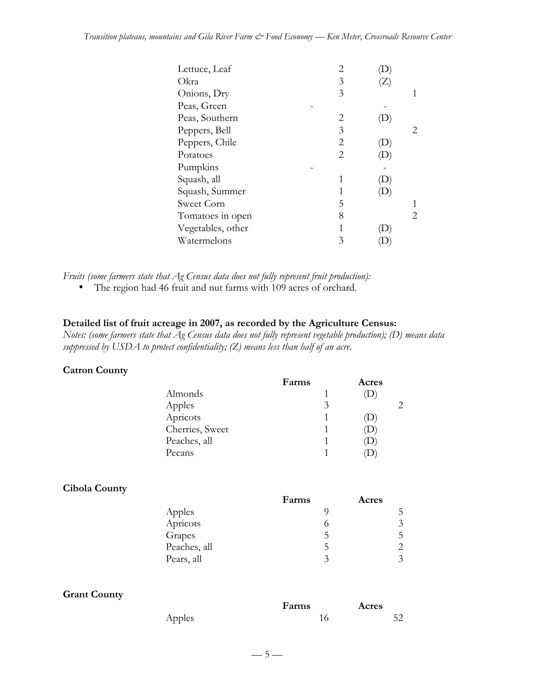| Lettuce, Leaf     | 2 |                            |   |
|-------------------|---|----------------------------|---|
| Okra              | 3 | $\left(  \right)$          |   |
| Onions, Dry       | 3 |                            | 1 |
| Peas, Green       |   |                            |   |
| Peas, Southern    | 2 |                            |   |
| Peppers, Bell     | 3 |                            | 2 |
| Peppers, Chile    | 2 | $\left( \mathrm{D}\right)$ |   |
| Potatoes          | 2 |                            |   |
| Pumpkins          |   |                            |   |
| Squash, all       |   |                            |   |
| Squash, Summer    | 1 |                            |   |
| Sweet Corn        | 5 |                            |   |
| Tomatoes in open  | 8 |                            | 2 |
| Vegetables, other | 1 |                            |   |
| Watermelons       | 3 |                            |   |

*Fruits (some farmers state that Ag Census data does not fully represent fruit production):* The region had 46 fruit and nut farms with 109 acres of orchard.

# **Detailed list of fruit acreage in 2007, as recorded by the Agriculture Census:**

*Notes: (some farmers state that Ag Census data does not fully represent vegetable production); (D) means data suppressed by USDA to protect confidentiality; (Z) means less than half of an acre.*

| <b>Catron County</b> |  |
|----------------------|--|
|                      |  |

|                 | Farms | Acres |  |
|-----------------|-------|-------|--|
| Almonds         |       |       |  |
| Apples          | 3     |       |  |
| Apricots        |       | Ω     |  |
| Cherries, Sweet |       | D     |  |
| Peaches, all    |       | D     |  |
| Pecans          |       |       |  |
|                 |       |       |  |

#### **Cibola County**

|              | Farms | Acres |
|--------------|-------|-------|
| Apples       |       |       |
| Apricots     |       | 3     |
| Grapes       | 5     | 5.    |
| Peaches, all | 5     |       |
| Pears, all   | 2     | 3     |

#### **Grant County**

|        | Farms | Acres |
|--------|-------|-------|
| Apples |       | 52    |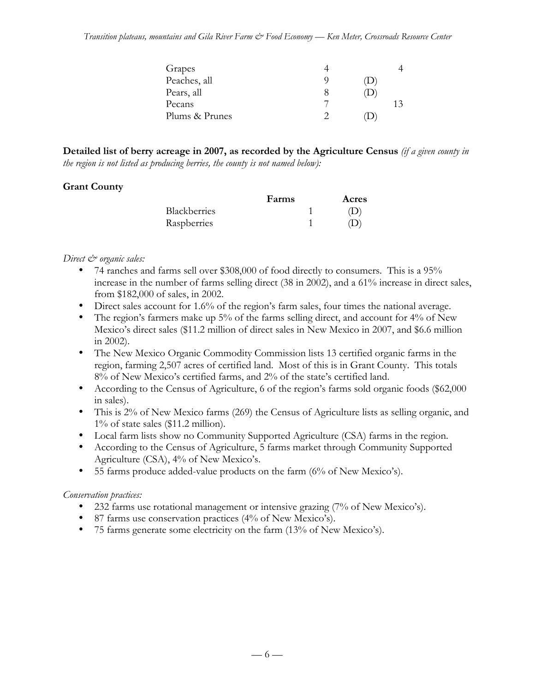| Grapes         |     |    |
|----------------|-----|----|
| Peaches, all   | T J |    |
| Pears, all     |     |    |
| Pecans         |     | 13 |
| Plums & Prunes |     |    |

**Detailed list of berry acreage in 2007, as recorded by the Agriculture Census** *(if a given county in the region is not listed as producing berries, the county is not named below):*

# **Grant County**

|                     | Farms | Acres |
|---------------------|-------|-------|
| <b>Blackberries</b> |       | (1)   |
| Raspberries         |       | (1)   |

#### *Direct & organic sales:*

74 ranches and farms sell over \$308,000 of food directly to consumers. This is a 95% increase in the number of farms selling direct (38 in 2002), and a 61% increase in direct sales, from \$182,000 of sales, in 2002.

Direct sales account for 1.6% of the region's farm sales, four times the national average. The region's farmers make up 5% of the farms selling direct, and account for 4% of New Mexico's direct sales (\$11.2 million of direct sales in New Mexico in 2007, and \$6.6 million in 2002).

The New Mexico Organic Commodity Commission lists 13 certified organic farms in the region, farming 2,507 acres of certified land. Most of this is in Grant County. This totals 8% of New Mexico's certified farms, and 2% of the state's certified land.

According to the Census of Agriculture, 6 of the region's farms sold organic foods (\$62,000 in sales).

This is 2% of New Mexico farms (269) the Census of Agriculture lists as selling organic, and 1% of state sales (\$11.2 million).

Local farm lists show no Community Supported Agriculture (CSA) farms in the region. According to the Census of Agriculture, 5 farms market through Community Supported Agriculture (CSA), 4% of New Mexico's.

55 farms produce added-value products on the farm (6% of New Mexico's).

# *Conservation practices:*

232 farms use rotational management or intensive grazing (7% of New Mexico's).

87 farms use conservation practices (4% of New Mexico's).

75 farms generate some electricity on the farm (13% of New Mexico's).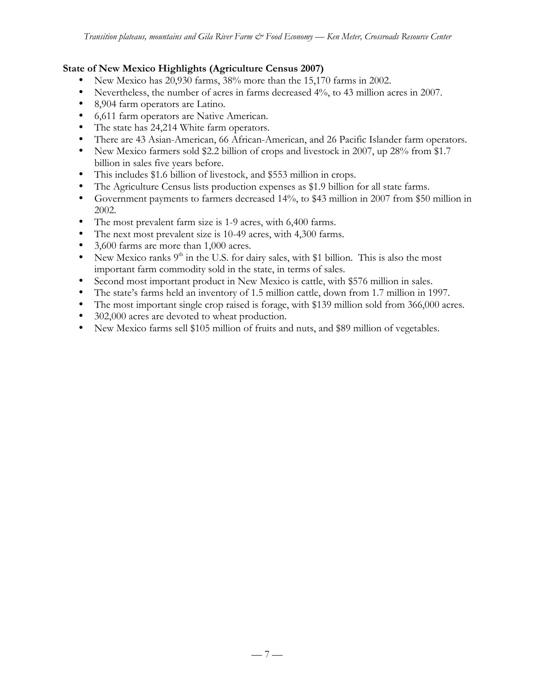#### **State of New Mexico Highlights (Agriculture Census 2007)**

New Mexico has 20,930 farms, 38% more than the 15,170 farms in 2002.

Nevertheless, the number of acres in farms decreased 4%, to 43 million acres in 2007.

8,904 farm operators are Latino.

6,611 farm operators are Native American.

The state has 24,214 White farm operators.

There are 43 Asian-American, 66 African-American, and 26 Pacific Islander farm operators. New Mexico farmers sold \$2.2 billion of crops and livestock in 2007, up 28% from \$1.7 billion in sales five years before.

This includes \$1.6 billion of livestock, and \$553 million in crops.

The Agriculture Census lists production expenses as \$1.9 billion for all state farms.

Government payments to farmers decreased 14%, to \$43 million in 2007 from \$50 million in 2002.

The most prevalent farm size is 1-9 acres, with 6,400 farms.

The next most prevalent size is 10-49 acres, with 4,300 farms.

3,600 farms are more than 1,000 acres.

New Mexico ranks  $9<sup>th</sup>$  in the U.S. for dairy sales, with \$1 billion. This is also the most important farm commodity sold in the state, in terms of sales.

Second most important product in New Mexico is cattle, with \$576 million in sales.

The state's farms held an inventory of 1.5 million cattle, down from 1.7 million in 1997.

The most important single crop raised is forage, with \$139 million sold from 366,000 acres. 302,000 acres are devoted to wheat production.

New Mexico farms sell \$105 million of fruits and nuts, and \$89 million of vegetables.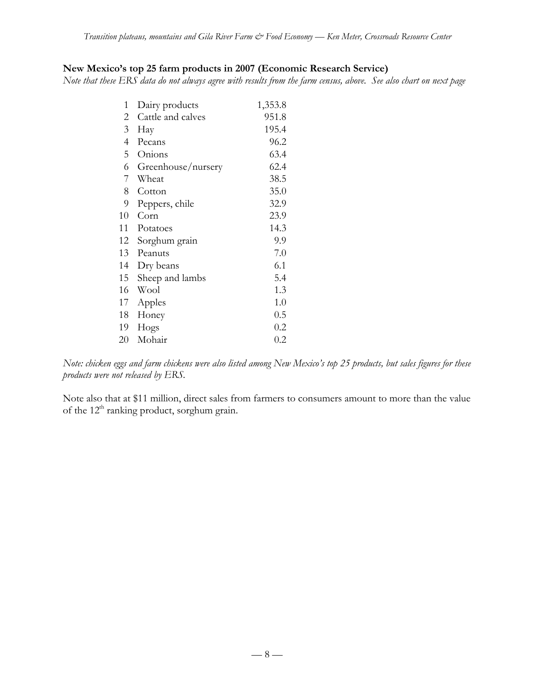# **New Mexico's top 25 farm products in 2007 (Economic Research Service)**

*Note that these ERS data do not always agree with results from the farm census, above. See also chart on next page*

| 1              | Dairy products     | 1,353.8 |
|----------------|--------------------|---------|
| 2              | Cattle and calves  | 951.8   |
| 3              | Hay                | 195.4   |
| $\overline{4}$ | Pecans             | 96.2    |
| 5              | Onions             | 63.4    |
| 6              | Greenhouse/nursery | 62.4    |
| 7              | Wheat              | 38.5    |
| 8              | Cotton             | 35.0    |
| 9              | Peppers, chile     | 32.9    |
| 10             | Corn               | 23.9    |
| 11             | Potatoes           | 14.3    |
| 12             | Sorghum grain      | 9.9     |
| 13             | Peanuts            | 7.0     |
| 14             | Dry beans          | 6.1     |
| 15             | Sheep and lambs    | 5.4     |
| 16             | Wool               | 1.3     |
| 17             | Apples             | 1.0     |
| 18             | Honey              | 0.5     |
| 19             | Hogs               | 0.2     |
| 20             | Mohair             | $0.2\,$ |

*Note: chicken eggs and farm chickens were also listed among New Mexico's top 25 products, but sales figures for these products were not released by ERS.*

Note also that at \$11 million, direct sales from farmers to consumers amount to more than the value of the 12<sup>th</sup> ranking product, sorghum grain.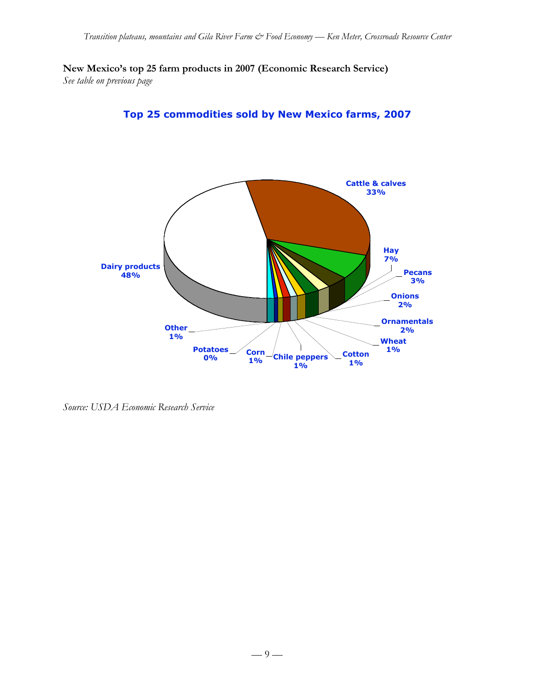**New Mexico's top 25 farm products in 2007 (Economic Research Service)** *See table on previous page*





*Source: USDA Economic Research Service*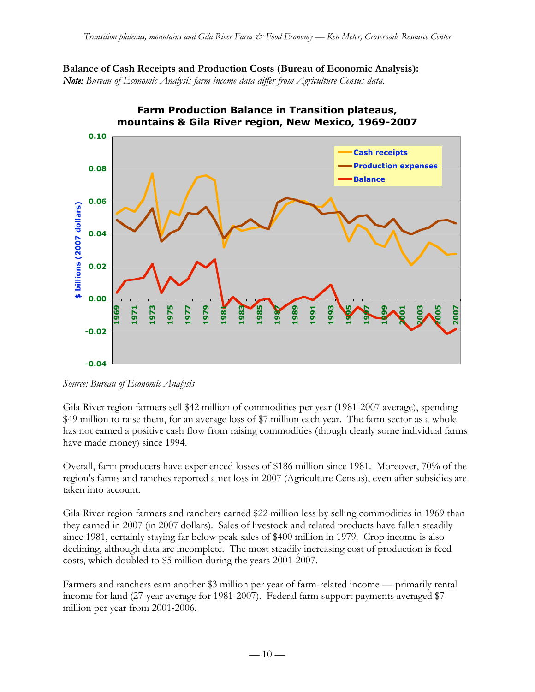**Balance of Cash Receipts and Production Costs (Bureau of Economic Analysis):** *Note: Bureau of Economic Analysis farm income data differ from Agriculture Census data.*



# **Farm Production Balance in Transition plateaus,**

*Source: Bureau of Economic Analysis*

Gila River region farmers sell \$42 million of commodities per year (1981-2007 average), spending \$49 million to raise them, for an average loss of \$7 million each year. The farm sector as a whole has not earned a positive cash flow from raising commodities (though clearly some individual farms have made money) since 1994.

Overall, farm producers have experienced losses of \$186 million since 1981. Moreover, 70% of the region's farms and ranches reported a net loss in 2007 (Agriculture Census), even after subsidies are taken into account.

Gila River region farmers and ranchers earned \$22 million less by selling commodities in 1969 than they earned in 2007 (in 2007 dollars). Sales of livestock and related products have fallen steadily since 1981, certainly staying far below peak sales of \$400 million in 1979. Crop income is also declining, although data are incomplete. The most steadily increasing cost of production is feed costs, which doubled to \$5 million during the years 2001-2007.

Farmers and ranchers earn another \$3 million per year of farm-related income — primarily rental income for land (27-year average for 1981-2007). Federal farm support payments averaged \$7 million per year from 2001-2006.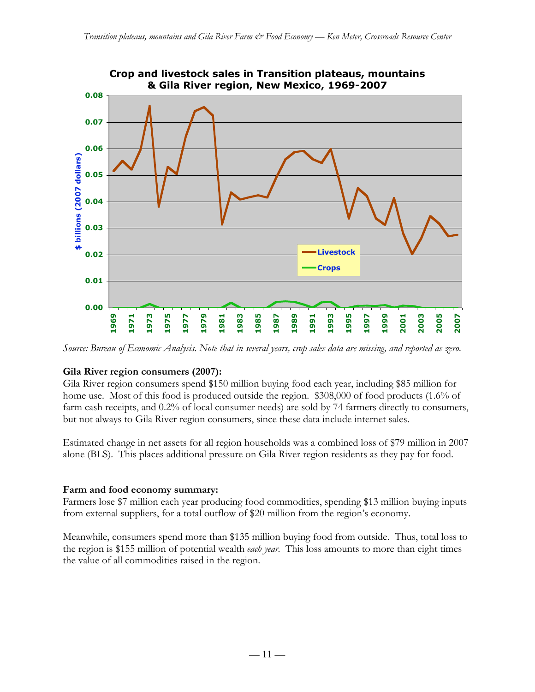

*Source: Bureau of Economic Analysis. Note that in several years, crop sales data are missing, and reported as zero.*

#### **Gila River region consumers (2007):**

Gila River region consumers spend \$150 million buying food each year, including \$85 million for home use. Most of this food is produced outside the region. \$308,000 of food products (1.6% of farm cash receipts, and 0.2% of local consumer needs) are sold by 74 farmers directly to consumers, but not always to Gila River region consumers, since these data include internet sales.

Estimated change in net assets for all region households was a combined loss of \$79 million in 2007 alone (BLS). This places additional pressure on Gila River region residents as they pay for food.

#### **Farm and food economy summary:**

Farmers lose \$7 million each year producing food commodities, spending \$13 million buying inputs from external suppliers, for a total outflow of \$20 million from the region's economy.

Meanwhile, consumers spend more than \$135 million buying food from outside. Thus, total loss to the region is \$155 million of potential wealth *each year*. This loss amounts to more than eight times the value of all commodities raised in the region.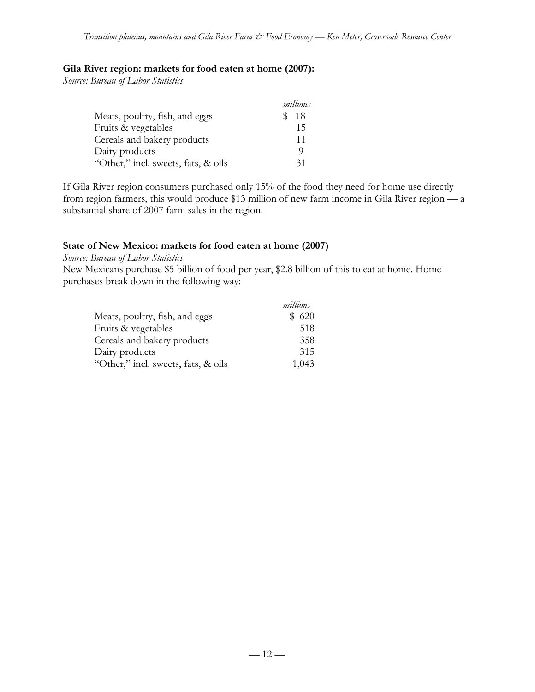### **Gila River region: markets for food eaten at home (2007):**

*Source: Bureau of Labor Statistics*

|                                     | millions |
|-------------------------------------|----------|
| Meats, poultry, fish, and eggs      | 18       |
| Fruits & vegetables                 | 15       |
| Cereals and bakery products         | 11       |
| Dairy products                      | O)       |
| "Other," incl. sweets, fats, & oils | 31       |

If Gila River region consumers purchased only 15% of the food they need for home use directly from region farmers, this would produce \$13 million of new farm income in Gila River region — a substantial share of 2007 farm sales in the region.

# **State of New Mexico: markets for food eaten at home (2007)**

*Source: Bureau of Labor Statistics*

New Mexicans purchase \$5 billion of food per year, \$2.8 billion of this to eat at home. Home purchases break down in the following way:

|                                     | millions |
|-------------------------------------|----------|
| Meats, poultry, fish, and eggs      | \$620    |
| Fruits & vegetables                 | 518      |
| Cereals and bakery products         | 358      |
| Dairy products                      | 315      |
| "Other," incl. sweets, fats, & oils | 1,043    |